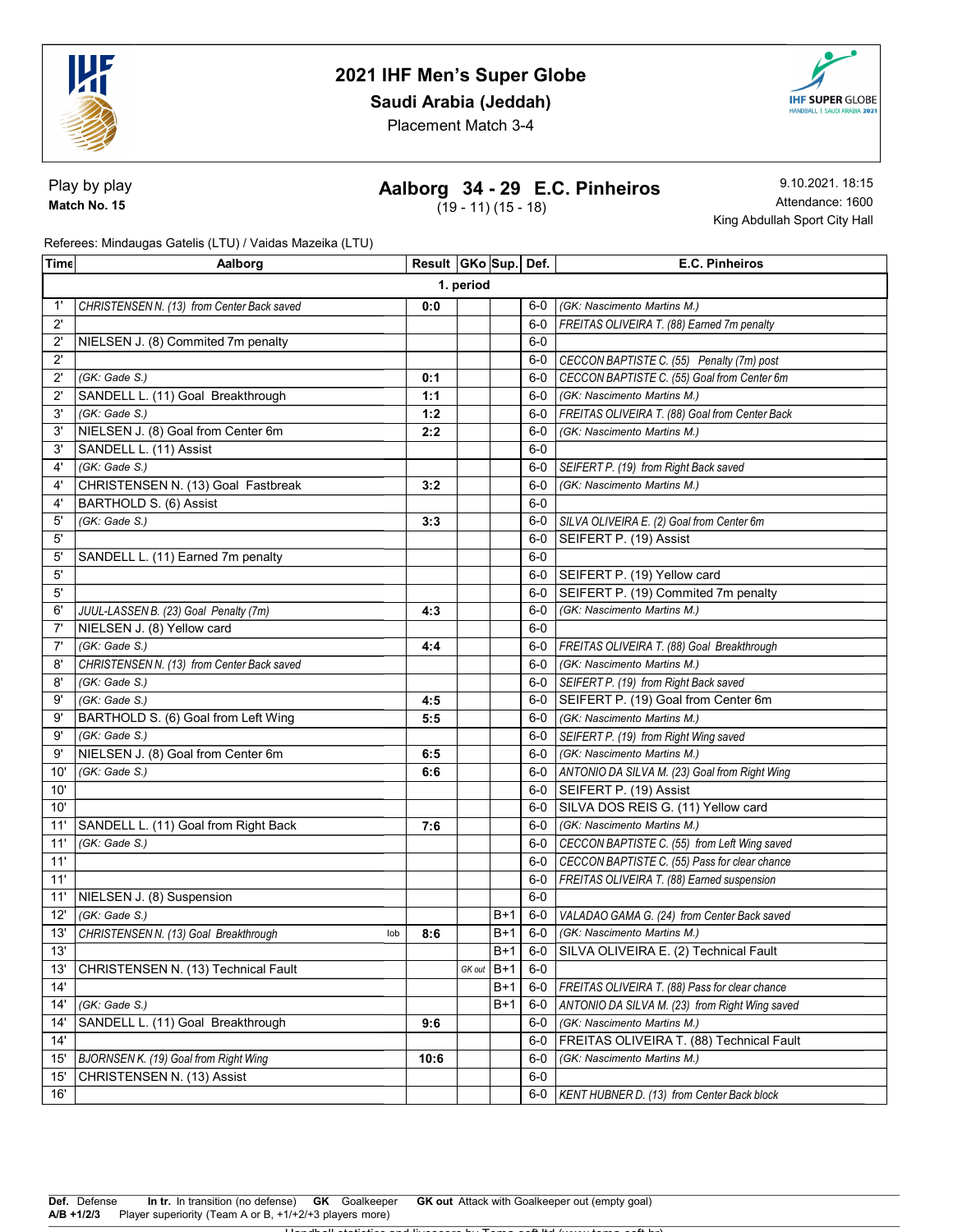

## Saudi Arabia (Jeddah)



Placement Match 3-4

Play by play Match No. 15

# Aalborg 34 - 29 E.C. Pinheiros

 $(19 - 11) (15 - 18)$ 

9.10.2021. 18:15 Attendance: 1600 King Abdullah Sport City Hall

Referees: Mindaugas Gatelis (LTU) / Vaidas Mazeika (LTU)

| Tim€         | Aalborg                                      | Result GKo Sup. Def. |        |       |         | E.C. Pinheiros                                      |  |  |
|--------------|----------------------------------------------|----------------------|--------|-------|---------|-----------------------------------------------------|--|--|
| 1. period    |                                              |                      |        |       |         |                                                     |  |  |
| $1^{\prime}$ | CHRISTENSEN N. (13) from Center Back saved   | 0:0                  |        |       | 6-0     | (GK: Nascimento Martins M.)                         |  |  |
| $2^{\prime}$ |                                              |                      |        |       | $6-0$   | FREITAS OLIVEIRA T. (88) Earned 7m penalty          |  |  |
| $2^{\prime}$ | NIELSEN J. (8) Commited 7m penalty           |                      |        |       | $6-0$   |                                                     |  |  |
| $2^{\prime}$ |                                              |                      |        |       |         | 6-0 CECCON BAPTISTE C. (55) Penalty (7m) post       |  |  |
| $2^{\prime}$ | (GK: Gade S.)                                | 0:1                  |        |       |         | 6-0 CECCON BAPTISTE C. (55) Goal from Center 6m     |  |  |
| $2^{\prime}$ | SANDELL L. (11) Goal Breakthrough            | 1:1                  |        |       | $6-0$   | (GK: Nascimento Martins M.)                         |  |  |
| 3'           | (GK: Gade S.)                                | 1:2                  |        |       | 6-0     | FREITAS OLIVEIRA T. (88) Goal from Center Back      |  |  |
| 3'           | NIELSEN J. (8) Goal from Center 6m           | 2:2                  |        |       | 6-0     | (GK: Nascimento Martins M.)                         |  |  |
| 3'           | SANDELL L. (11) Assist                       |                      |        |       | $6-0$   |                                                     |  |  |
| $4^{\circ}$  | (GK: Gade S.)                                |                      |        |       | 6-0     | SEIFERT P. (19) from Right Back saved               |  |  |
| 4'           | CHRISTENSEN N. (13) Goal Fastbreak           | 3:2                  |        |       | $6-0$   | (GK: Nascimento Martins M.)                         |  |  |
| 4'           | BARTHOLD S. (6) Assist                       |                      |        |       | $6-0$   |                                                     |  |  |
| 5'           | (GK: Gade S.)                                | 3:3                  |        |       | 6-0     | SILVA OLIVEIRA E. (2) Goal from Center 6m           |  |  |
| 5'           |                                              |                      |        |       | 6-0     | SEIFERT P. (19) Assist                              |  |  |
| 5'           | SANDELL L. (11) Earned 7m penalty            |                      |        |       | $6-0$   |                                                     |  |  |
| $5^{\prime}$ |                                              |                      |        |       |         | 6-0 SEIFERT P. (19) Yellow card                     |  |  |
| 5'           |                                              |                      |        |       | 6-0     | SEIFERT P. (19) Commited 7m penalty                 |  |  |
| 6'           | JUUL-LASSEN B. (23) Goal Penalty (7m)        | 4:3                  |        |       | $6-0$   | (GK: Nascimento Martins M.)                         |  |  |
| 7'           | NIELSEN J. (8) Yellow card                   |                      |        |       | $6-0$   |                                                     |  |  |
| 7'           | (GK: Gade S.)                                | 4:4                  |        |       |         | 6-0   FREITAS OLIVEIRA T. (88) Goal Breakthrough    |  |  |
| 8'           | CHRISTENSEN N. (13) from Center Back saved   |                      |        |       | $6-0$   | (GK: Nascimento Martins M.)                         |  |  |
| 8'           | (GK: Gade S.)                                |                      |        |       | 6-0     | SEIFERT P. (19) from Right Back saved               |  |  |
| 9'           | (GK: Gade S.)                                | 4:5                  |        |       |         | 6-0 SEIFERT P. (19) Goal from Center 6m             |  |  |
| 9'           | BARTHOLD S. (6) Goal from Left Wing          | 5:5                  |        |       | $6-0$   | (GK: Nascimento Martins M.)                         |  |  |
| 9'           | (GK: Gade S.)                                |                      |        |       | $6-0$ 1 | SEIFERT P. (19) from Right Wing saved               |  |  |
| 9'           | NIELSEN J. (8) Goal from Center 6m           | 6:5                  |        |       |         | 6-0 (GK: Nascimento Martins M.)                     |  |  |
| 10'          | (GK: Gade S.)                                | 6:6                  |        |       |         | 6-0   ANTONIO DA SILVA M. (23) Goal from Right Wing |  |  |
| 10'          |                                              |                      |        |       |         | 6-0   SEIFERT P. (19) Assist                        |  |  |
| 10'          |                                              |                      |        |       |         | 6-0 SILVA DOS REIS G. (11) Yellow card              |  |  |
| 11'          | SANDELL L. (11) Goal from Right Back         | 7:6                  |        |       |         | 6-0 (GK: Nascimento Martins M.)                     |  |  |
| 11'          | (GK: Gade S.)                                |                      |        |       | $6-0$   | CECCON BAPTISTE C. (55) from Left Wing saved        |  |  |
| 11'          |                                              |                      |        |       | $6-0$   | CECCON BAPTISTE C. (55) Pass for clear chance       |  |  |
| 11'          |                                              |                      |        |       | 6-0     | FREITAS OLIVEIRA T. (88) Earned suspension          |  |  |
| 11'          | NIELSEN J. (8) Suspension                    |                      |        |       | $6-0$   |                                                     |  |  |
| 12'          | (GK: Gade S.)                                |                      |        | B+1   |         | 6-0   VALADAO GAMA G. (24) from Center Back saved   |  |  |
| 13'          | CHRISTENSEN N. (13) Goal Breakthrough<br>lob | 8:6                  |        | B+1   |         | 6-0 (GK: Nascimento Martins M.)                     |  |  |
| 13'          |                                              |                      |        | $B+1$ |         | 6-0 SILVA OLIVEIRA E. (2) Technical Fault           |  |  |
| 13'          | CHRISTENSEN N. (13) Technical Fault          |                      | GK out | $B+1$ | $6-0$   |                                                     |  |  |
| 14'          |                                              |                      |        | B+1   | $6-0$   | FREITAS OLIVEIRA T. (88) Pass for clear chance      |  |  |
| 14'          | (GK: Gade S.)                                |                      |        | B+1   | 6-0     | ANTONIO DA SILVA M. (23) from Right Wing saved      |  |  |
| 14'          | SANDELL L. (11) Goal Breakthrough            | 9:6                  |        |       | $6-0$   | (GK: Nascimento Martins M.)                         |  |  |
| 14'          |                                              |                      |        |       | $6-0$   | FREITAS OLIVEIRA T. (88) Technical Fault            |  |  |
| 15'          | <b>BJORNSEN K.</b> (19) Goal from Right Wing | 10:6                 |        |       | 6-0     | (GK: Nascimento Martins M.)                         |  |  |
| 15'          | CHRISTENSEN N. (13) Assist                   |                      |        |       | $6-0$   |                                                     |  |  |
| 16'          |                                              |                      |        |       | $6-0$   | KENT HUBNER D. (13) from Center Back block          |  |  |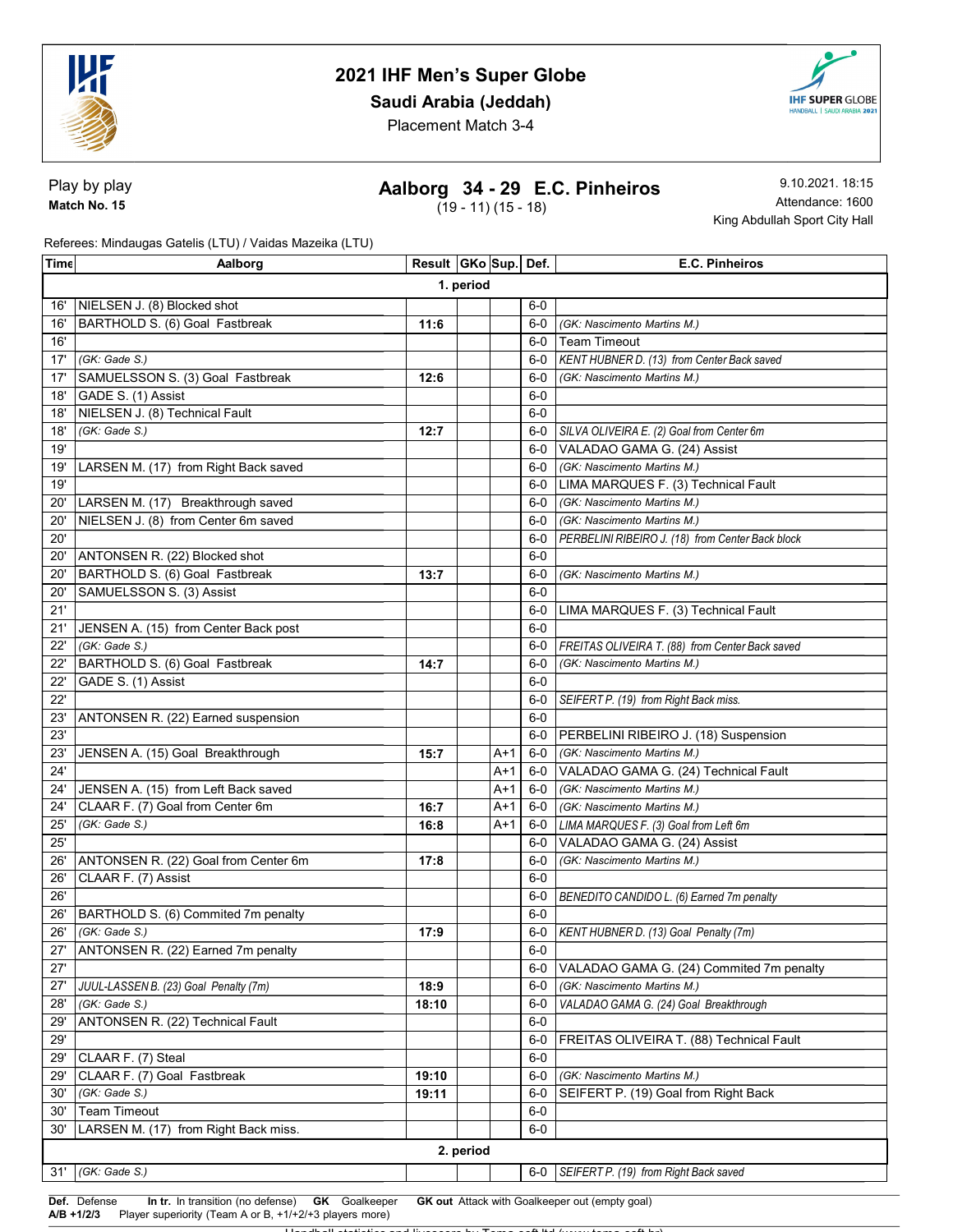

## Saudi Arabia (Jeddah)



Placement Match 3-4

Play by play Match No. 15

## Aalborg 34 - 29 E.C. Pinheiros

 $(19 - 11) (15 - 18)$ 

9.10.2021. 18:15 Attendance: 1600 King Abdullah Sport City Hall

Referees: Mindaugas Gatelis (LTU) / Vaidas Mazeika (LTU)

| Time | Aalborg                                             | Result GKo Sup Def. |  |     |                | E.C. Pinheiros                                                       |  |  |
|------|-----------------------------------------------------|---------------------|--|-----|----------------|----------------------------------------------------------------------|--|--|
|      | 1. period                                           |                     |  |     |                |                                                                      |  |  |
| 16'  | NIELSEN J. (8) Blocked shot                         |                     |  |     | $6-0$          |                                                                      |  |  |
| 16'  | BARTHOLD S. (6) Goal Fastbreak                      | 11:6                |  |     | $6-0$          | (GK: Nascimento Martins M.)                                          |  |  |
| 16'  |                                                     |                     |  |     | 6-0            | <b>Team Timeout</b>                                                  |  |  |
| 17'  | (GK: Gade S.)                                       |                     |  |     | 6-0            | KENT HUBNER D. (13) from Center Back saved                           |  |  |
| 17'  | SAMUELSSON S. (3) Goal Fastbreak                    | 12:6                |  |     | 6-0            | (GK: Nascimento Martins M.)                                          |  |  |
| 18'  | GADE S. (1) Assist                                  |                     |  |     | $6-0$          |                                                                      |  |  |
| 18'  | NIELSEN J. (8) Technical Fault                      |                     |  |     | $6-0$          |                                                                      |  |  |
| 18'  | (GK: Gade S.)                                       | 12:7                |  |     | $6-0$          | SILVA OLIVEIRA E. (2) Goal from Center 6m                            |  |  |
| 19'  |                                                     |                     |  |     | $6-0$          | VALADAO GAMA G. (24) Assist                                          |  |  |
| 19'  | LARSEN M. (17) from Right Back saved                |                     |  |     | $6-0$          | (GK: Nascimento Martins M.)                                          |  |  |
| 19'  |                                                     |                     |  |     | 6-0            | LIMA MARQUES F. (3) Technical Fault                                  |  |  |
| 20'  | LARSEN M. (17) Breakthrough saved                   |                     |  |     | 6-0            | (GK: Nascimento Martins M.)                                          |  |  |
| 20'  | NIELSEN J. (8) from Center 6m saved                 |                     |  |     | 6-0            | (GK: Nascimento Martins M.)                                          |  |  |
| 20'  |                                                     |                     |  |     | 6-0            | PERBELINI RIBEIRO J. (18) from Center Back block                     |  |  |
| 20'  | ANTONSEN R. (22) Blocked shot                       |                     |  |     | $6-0$          |                                                                      |  |  |
| 20'  | BARTHOLD S. (6) Goal Fastbreak                      | 13:7                |  |     | 6-0            | (GK: Nascimento Martins M.)                                          |  |  |
| 20'  | SAMUELSSON S. (3) Assist                            |                     |  |     | $6-0$          |                                                                      |  |  |
| 21'  |                                                     |                     |  |     | $6-0$          | LIMA MARQUES F. (3) Technical Fault                                  |  |  |
| 21'  | JENSEN A. (15) from Center Back post                |                     |  |     | $6-0$          |                                                                      |  |  |
| 22'  | (GK: Gade S.)                                       |                     |  |     | $6-0$          | FREITAS OLIVEIRA T. (88) from Center Back saved                      |  |  |
| 22'  | BARTHOLD S. (6) Goal Fastbreak                      | 14:7                |  |     | $6-0$          | (GK: Nascimento Martins M.)                                          |  |  |
| 22'  | GADE S. (1) Assist                                  |                     |  |     | $6-0$          |                                                                      |  |  |
| 22'  |                                                     |                     |  |     | $6-0$          | SEIFERT P. (19) from Right Back miss.                                |  |  |
| 23'  | ANTONSEN R. (22) Earned suspension                  |                     |  |     | $6-0$          |                                                                      |  |  |
| 23'  |                                                     |                     |  |     | $6-0$          | PERBELINI RIBEIRO J. (18) Suspension                                 |  |  |
| 23'  | JENSEN A. (15) Goal Breakthrough                    | 15:7                |  | A+1 | 6-0            | (GK: Nascimento Martins M.)                                          |  |  |
| 24'  |                                                     |                     |  | A+1 | 6-0            | VALADAO GAMA G. (24) Technical Fault                                 |  |  |
| 24'  | JENSEN A. (15) from Left Back saved                 |                     |  | A+1 | 6-0            | (GK: Nascimento Martins M.)                                          |  |  |
| 24'  | CLAAR F. (7) Goal from Center 6m                    | 16:7                |  | A+1 | $6-0$          | (GK: Nascimento Martins M.)                                          |  |  |
| 25'  | (GK: Gade S.)                                       | 16:8                |  | A+1 | 6-0            |                                                                      |  |  |
| 25'  |                                                     |                     |  |     | $6-0$          | LIMA MARQUES F. (3) Goal from Left 6m<br>VALADAO GAMA G. (24) Assist |  |  |
|      |                                                     |                     |  |     |                |                                                                      |  |  |
| 26'  | ANTONSEN R. (22) Goal from Center 6m                | 17:8                |  |     | $6-0$          | (GK: Nascimento Martins M.)                                          |  |  |
| 26'  | CLAAR F. (7) Assist                                 |                     |  |     | $6-0$<br>$6-0$ |                                                                      |  |  |
| 26'  |                                                     |                     |  |     | $6-0$          | BENEDITO CANDIDO L. (6) Earned 7m penalty                            |  |  |
| 26'  | BARTHOLD S. (6) Commited 7m penalty                 |                     |  |     |                |                                                                      |  |  |
| 26'  | (GK: Gade S.)<br>ANTONSEN R. (22) Earned 7m penalty | 17:9                |  |     | $6-0$<br>$6-0$ | KENT HUBNER D. (13) Goal Penalty (7m)                                |  |  |
| 27'  |                                                     |                     |  |     |                |                                                                      |  |  |
| 27'  |                                                     |                     |  |     | 6-0            | VALADAO GAMA G. (24) Commited 7m penalty                             |  |  |
| 27'  | JUUL-LASSEN B. (23) Goal Penalty (7m)               | 18:9                |  |     | 6-0            | (GK: Nascimento Martins M.)                                          |  |  |
| 28'  | (GK: Gade S.)                                       | 18:10               |  |     | 6-0            | VALADAO GAMA G. (24) Goal Breakthrough                               |  |  |
| 29'  | ANTONSEN R. (22) Technical Fault                    |                     |  |     | $6-0$          |                                                                      |  |  |
| 29'  |                                                     |                     |  |     | $6-0$          | FREITAS OLIVEIRA T. (88) Technical Fault                             |  |  |
| 29'  | CLAAR F. (7) Steal                                  |                     |  |     | $6-0$          |                                                                      |  |  |
| 29'  | CLAAR F. (7) Goal Fastbreak                         | 19:10               |  |     | $6-0$          | (GK: Nascimento Martins M.)                                          |  |  |
| 30'  | (GK: Gade S.)                                       | 19:11               |  |     | $6-0$          | SEIFERT P. (19) Goal from Right Back                                 |  |  |
| 30'  | <b>Team Timeout</b>                                 |                     |  |     | $6-0$          |                                                                      |  |  |
| 30'  | LARSEN M. (17) from Right Back miss.                |                     |  |     | $6-0$          |                                                                      |  |  |
|      | 2. period                                           |                     |  |     |                |                                                                      |  |  |
|      | 31' (GK: Gade S.)                                   |                     |  |     |                | 6-0 SEIFERT P. (19) from Right Back saved                            |  |  |

Def. Defense In tr. In transition (no defense) GK Goalkeeper GK out Attack with Goalkeeper out (empty goal)

A/B +1/2/3 Player superiority (Team A or B, +1/+2/+3 players more)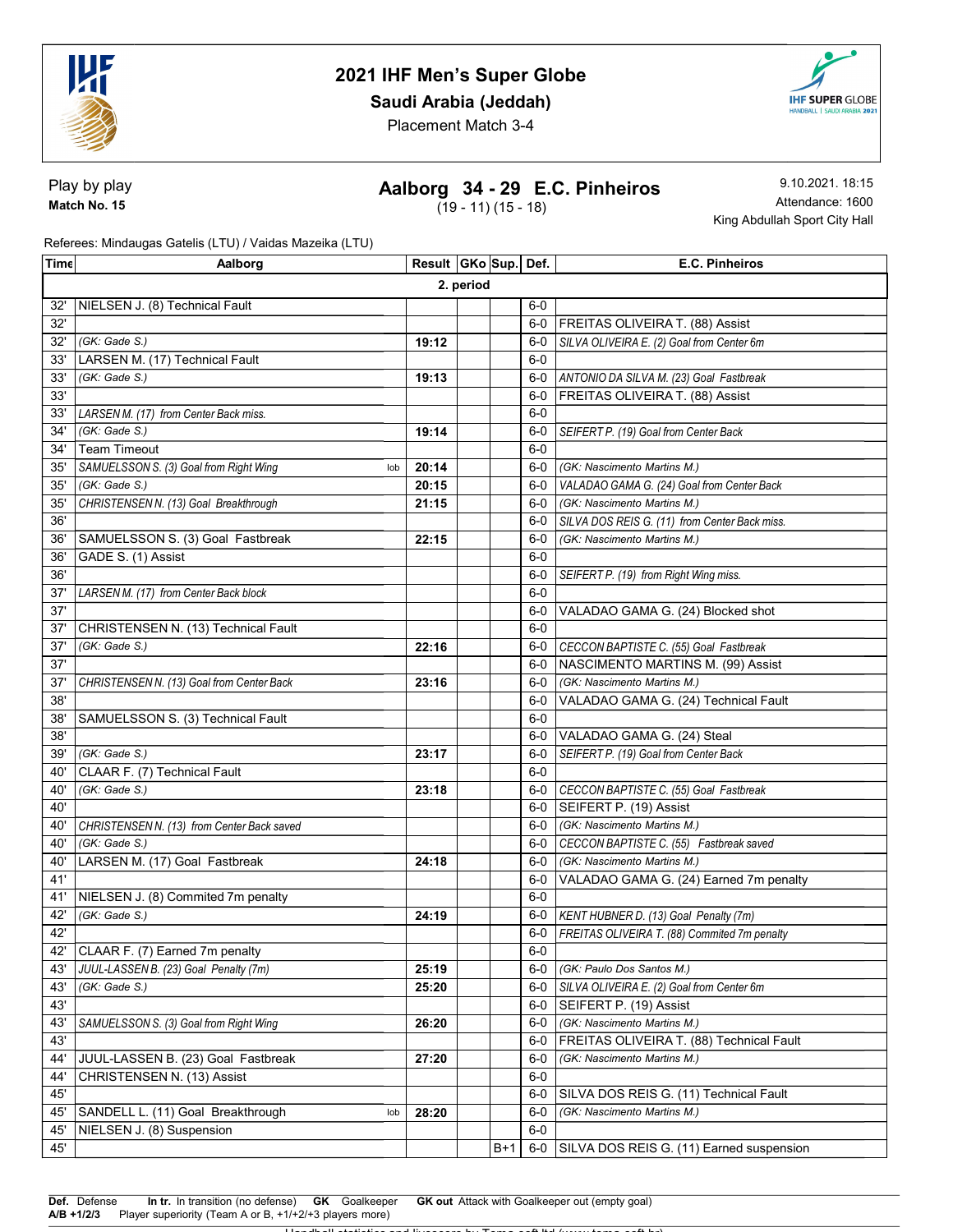

## Saudi Arabia (Jeddah)



Placement Match 3-4

Play by play Match No. 15

## Aalborg 34 - 29 E.C. Pinheiros

 $(19 - 11) (15 - 18)$ 

9.10.2021. 18:15 Attendance: 1600 King Abdullah Sport City Hall

Referees: Mindaugas Gatelis (LTU) / Vaidas Mazeika (LTU)

| <b>Time</b> | Aalborg                                       | Result GKo Sup. Def. |  |     |       | E.C. Pinheiros                                |  |  |
|-------------|-----------------------------------------------|----------------------|--|-----|-------|-----------------------------------------------|--|--|
|             | 2. period                                     |                      |  |     |       |                                               |  |  |
| 32'         | NIELSEN J. (8) Technical Fault                |                      |  |     | $6-0$ |                                               |  |  |
| 32'         |                                               |                      |  |     | 6-0   | <b>FREITAS OLIVEIRA T. (88) Assist</b>        |  |  |
| 32'         | (GK: Gade S.)                                 | 19:12                |  |     | $6-0$ | SILVA OLIVEIRA E. (2) Goal from Center 6m     |  |  |
| 33'         | LARSEN M. (17) Technical Fault                |                      |  |     | $6-0$ |                                               |  |  |
| 33'         | (GK: Gade S.)                                 | 19:13                |  |     | $6-0$ | ANTONIO DA SILVA M. (23) Goal Fastbreak       |  |  |
| 33'         |                                               |                      |  |     | 6-0   | FREITAS OLIVEIRA T. (88) Assist               |  |  |
| 33'         | LARSEN M. (17) from Center Back miss.         |                      |  |     | $6-0$ |                                               |  |  |
| 34'         | (GK: Gade S.)                                 | 19:14                |  |     | 6-0   | SEIFERT P. (19) Goal from Center Back         |  |  |
| 34'         | <b>Team Timeout</b>                           |                      |  |     | $6-0$ |                                               |  |  |
| 35'         | SAMUELSSON S. (3) Goal from Right Wing<br>lob | 20:14                |  |     | $6-0$ | (GK: Nascimento Martins M.)                   |  |  |
| 35'         | (GK: Gade S.)                                 | 20:15                |  |     | 6-0   | VALADAO GAMA G. (24) Goal from Center Back    |  |  |
| 35'         | CHRISTENSEN N. (13) Goal Breakthrough         | 21:15                |  |     | 6-0   | (GK: Nascimento Martins M.)                   |  |  |
| 36'         |                                               |                      |  |     | 6-0   | SILVA DOS REIS G. (11) from Center Back miss. |  |  |
| 36'         | SAMUELSSON S. (3) Goal Fastbreak              | 22:15                |  |     | $6-0$ | (GK: Nascimento Martins M.)                   |  |  |
| 36'         | GADE S. (1) Assist                            |                      |  |     | $6-0$ |                                               |  |  |
| 36'         |                                               |                      |  |     | $6-0$ | SEIFERT P. (19) from Right Wing miss.         |  |  |
| 37'         | LARSEN M. (17) from Center Back block         |                      |  |     | $6-0$ |                                               |  |  |
| 37'         |                                               |                      |  |     | $6-0$ | VALADAO GAMA G. (24) Blocked shot             |  |  |
| 37'         | CHRISTENSEN N. (13) Technical Fault           |                      |  |     | $6-0$ |                                               |  |  |
| 37'         | (GK: Gade S.)                                 | 22:16                |  |     | $6-0$ | CECCON BAPTISTE C. (55) Goal Fastbreak        |  |  |
| 37'         |                                               |                      |  |     | $6-0$ | NASCIMENTO MARTINS M. (99) Assist             |  |  |
| 37'         | CHRISTENSEN N. (13) Goal from Center Back     | 23:16                |  |     | $6-0$ | (GK: Nascimento Martins M.)                   |  |  |
| 38'         |                                               |                      |  |     | $6-0$ | VALADAO GAMA G. (24) Technical Fault          |  |  |
| 38'         | SAMUELSSON S. (3) Technical Fault             |                      |  |     | $6-0$ |                                               |  |  |
| 38'         |                                               |                      |  |     | 6-0   | VALADAO GAMA G. (24) Steal                    |  |  |
| 39'         | (GK: Gade S.)                                 | 23:17                |  |     | 6-0   | SEIFERT P. (19) Goal from Center Back         |  |  |
| 40'         | CLAAR F. (7) Technical Fault                  |                      |  |     | $6-0$ |                                               |  |  |
| 40'         | (GK: Gade S.)                                 | 23:18                |  |     |       | 6-0 CECCON BAPTISTE C. (55) Goal Fastbreak    |  |  |
| 40'         |                                               |                      |  |     | $6-0$ | SEIFERT P. (19) Assist                        |  |  |
| 40'         | CHRISTENSEN N. (13) from Center Back saved    |                      |  |     | $6-0$ | (GK: Nascimento Martins M.)                   |  |  |
| 40'         | (GK: Gade S.)                                 |                      |  |     | 6-0   | CECCON BAPTISTE C. (55) Fastbreak saved       |  |  |
| 40'         | LARSEN M. (17) Goal Fastbreak                 | 24:18                |  |     | $6-0$ | (GK: Nascimento Martins M.)                   |  |  |
| 41'         |                                               |                      |  |     | 6-0   | VALADAO GAMA G. (24) Earned 7m penalty        |  |  |
| 41'         | NIELSEN J. (8) Commited 7m penalty            |                      |  |     | $6-0$ |                                               |  |  |
| 42'         | (GK: Gade S.)                                 | 24:19                |  |     | 6-0   | KENT HUBNER D. (13) Goal Penalty (7m)         |  |  |
| 42'         |                                               |                      |  |     | 6-0   | FREITAS OLIVEIRA T. (88) Commited 7m penalty  |  |  |
|             | 42' CLAAR F. (7) Earned 7m penalty            |                      |  |     | $6-0$ |                                               |  |  |
| 43'         | JUUL-LASSEN B. (23) Goal Penalty (7m)         | 25:19                |  |     | 6-0   | (GK: Paulo Dos Santos M.)                     |  |  |
| 43'         | (GK: Gade S.)                                 | 25:20                |  |     | 6-0   | SILVA OLIVEIRA E. (2) Goal from Center 6m     |  |  |
| 43'         |                                               |                      |  |     | 6-0   | SEIFERT P. (19) Assist                        |  |  |
| 43'         | SAMUELSSON S. (3) Goal from Right Wing        | 26:20                |  |     | 6-0   | (GK: Nascimento Martins M.)                   |  |  |
| 43'         |                                               |                      |  |     | 6-0   | FREITAS OLIVEIRA T. (88) Technical Fault      |  |  |
| 44'         | JUUL-LASSEN B. (23) Goal Fastbreak            | 27:20                |  |     | 6-0   | (GK: Nascimento Martins M.)                   |  |  |
| 44'         | CHRISTENSEN N. (13) Assist                    |                      |  |     | $6-0$ |                                               |  |  |
| 45'         |                                               |                      |  |     | $6-0$ | SILVA DOS REIS G. (11) Technical Fault        |  |  |
| 45'         | SANDELL L. (11) Goal Breakthrough<br>lob      | 28:20                |  |     | $6-0$ | (GK: Nascimento Martins M.)                   |  |  |
| 45'         | NIELSEN J. (8) Suspension                     |                      |  |     | $6-0$ |                                               |  |  |
| 45'         |                                               |                      |  | B+1 |       | 6-0 SILVA DOS REIS G. (11) Earned suspension  |  |  |